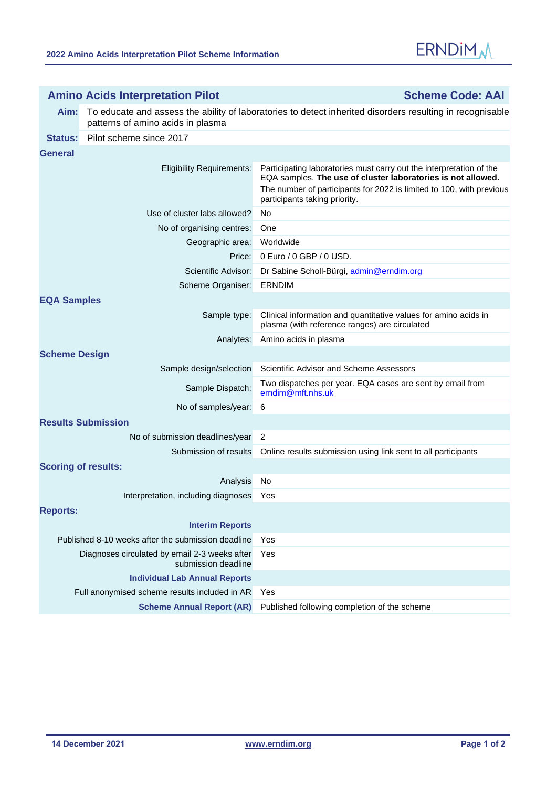

| <b>Amino Acids Interpretation Pilot</b>                              |                                                                                                                                                | <b>Scheme Code: AAI</b>                                                                                                                                                                                                                      |  |
|----------------------------------------------------------------------|------------------------------------------------------------------------------------------------------------------------------------------------|----------------------------------------------------------------------------------------------------------------------------------------------------------------------------------------------------------------------------------------------|--|
| Aim:                                                                 | To educate and assess the ability of laboratories to detect inherited disorders resulting in recognisable<br>patterns of amino acids in plasma |                                                                                                                                                                                                                                              |  |
| Status:                                                              | Pilot scheme since 2017                                                                                                                        |                                                                                                                                                                                                                                              |  |
| General                                                              |                                                                                                                                                |                                                                                                                                                                                                                                              |  |
|                                                                      | <b>Eligibility Requirements:</b>                                                                                                               | Participating laboratories must carry out the interpretation of the<br>EQA samples. The use of cluster laboratories is not allowed.<br>The number of participants for 2022 is limited to 100, with previous<br>participants taking priority. |  |
|                                                                      | Use of cluster labs allowed?                                                                                                                   | No.                                                                                                                                                                                                                                          |  |
|                                                                      | No of organising centres:                                                                                                                      | One                                                                                                                                                                                                                                          |  |
|                                                                      | Geographic area:                                                                                                                               | Worldwide                                                                                                                                                                                                                                    |  |
|                                                                      | Price:                                                                                                                                         | 0 Euro / 0 GBP / 0 USD.                                                                                                                                                                                                                      |  |
|                                                                      | Scientific Advisor:                                                                                                                            | Dr Sabine Scholl-Bürgi, admin@erndim.org                                                                                                                                                                                                     |  |
|                                                                      | Scheme Organiser:                                                                                                                              | <b>ERNDIM</b>                                                                                                                                                                                                                                |  |
| <b>EQA Samples</b>                                                   |                                                                                                                                                |                                                                                                                                                                                                                                              |  |
|                                                                      | Sample type:                                                                                                                                   | Clinical information and quantitative values for amino acids in<br>plasma (with reference ranges) are circulated                                                                                                                             |  |
|                                                                      | Analytes:                                                                                                                                      | Amino acids in plasma                                                                                                                                                                                                                        |  |
| <b>Scheme Design</b>                                                 |                                                                                                                                                |                                                                                                                                                                                                                                              |  |
|                                                                      | Sample design/selection                                                                                                                        | Scientific Advisor and Scheme Assessors                                                                                                                                                                                                      |  |
|                                                                      | Sample Dispatch:                                                                                                                               | Two dispatches per year. EQA cases are sent by email from<br>erndim@mft.nhs.uk                                                                                                                                                               |  |
|                                                                      | No of samples/year:                                                                                                                            | 6                                                                                                                                                                                                                                            |  |
|                                                                      | <b>Results Submission</b>                                                                                                                      |                                                                                                                                                                                                                                              |  |
|                                                                      | No of submission deadlines/year                                                                                                                | $\overline{2}$                                                                                                                                                                                                                               |  |
|                                                                      | Submission of results                                                                                                                          | Online results submission using link sent to all participants                                                                                                                                                                                |  |
| <b>Scoring of results:</b>                                           |                                                                                                                                                |                                                                                                                                                                                                                                              |  |
|                                                                      | Analysis                                                                                                                                       | No                                                                                                                                                                                                                                           |  |
|                                                                      | Interpretation, including diagnoses                                                                                                            | Yes                                                                                                                                                                                                                                          |  |
| <b>Reports:</b>                                                      |                                                                                                                                                |                                                                                                                                                                                                                                              |  |
|                                                                      | <b>Interim Reports</b>                                                                                                                         |                                                                                                                                                                                                                                              |  |
| Published 8-10 weeks after the submission deadline                   |                                                                                                                                                | Yes                                                                                                                                                                                                                                          |  |
| Diagnoses circulated by email 2-3 weeks after<br>submission deadline |                                                                                                                                                | Yes                                                                                                                                                                                                                                          |  |
|                                                                      | <b>Individual Lab Annual Reports</b>                                                                                                           |                                                                                                                                                                                                                                              |  |
|                                                                      | Full anonymised scheme results included in AR                                                                                                  | Yes                                                                                                                                                                                                                                          |  |
| <b>Scheme Annual Report (AR)</b>                                     |                                                                                                                                                | Published following completion of the scheme                                                                                                                                                                                                 |  |